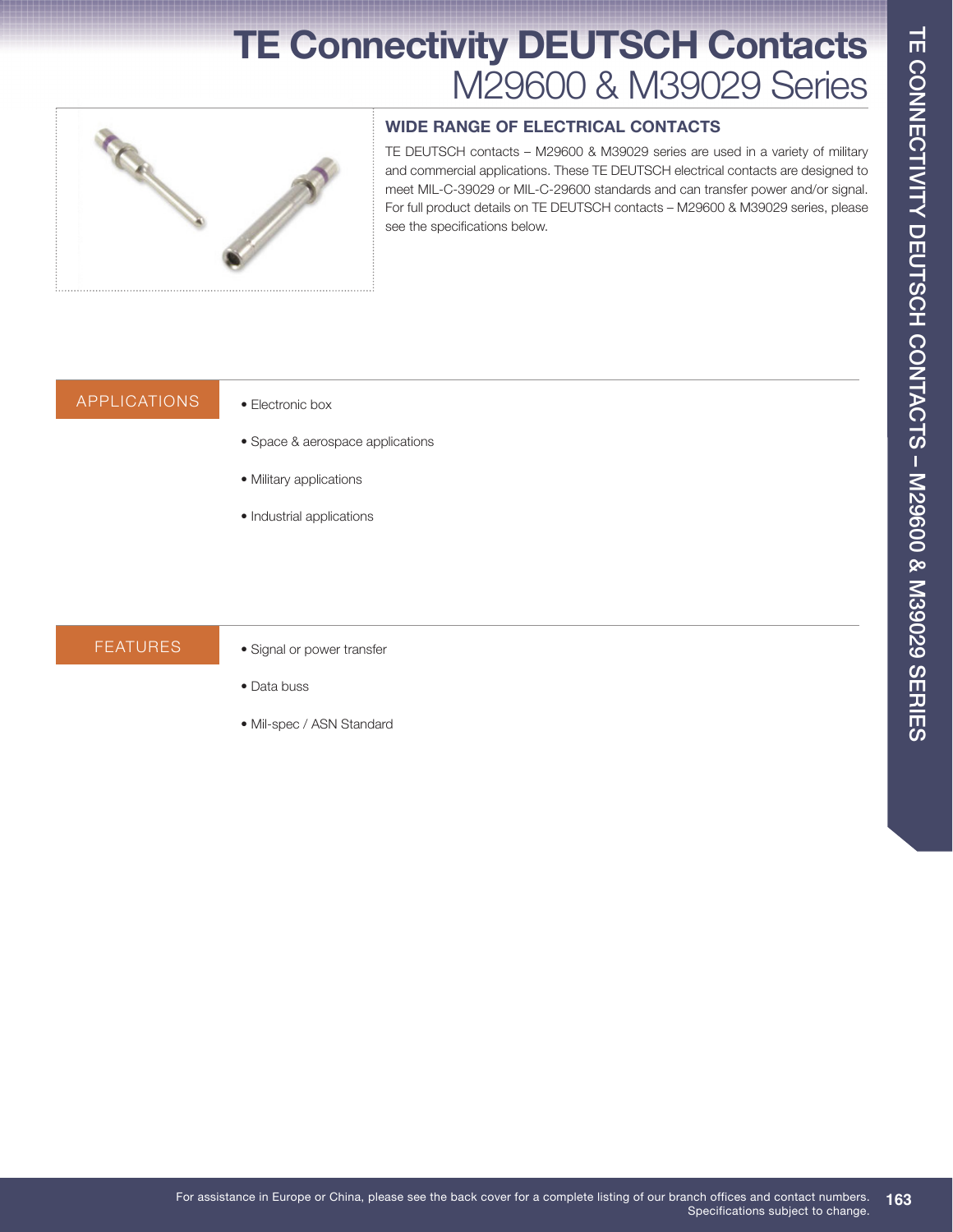# **TE Connectivity DEUTSCH Contacts**  M29600 & M39029 Series



### **WIDE RANGE OF ELECTRICAL CONTACTS**

TE DEUTSCH contacts – M29600 & M39029 series are used in a variety of military and commercial applications. These TE DEUTSCH electrical contacts are designed to meet MIL-C-39029 or MIL-C-29600 standards and can transfer power and/or signal. For full product details on TE DEUTSCH contacts – M29600 & M39029 series, please see the specifications below.

### Applications • Electronic box

- Space & aerospace applications
- Military applications
- Industrial applications

- FEATURES Signal or power transfer
	- Data buss
	- Mil-spec / ASN Standard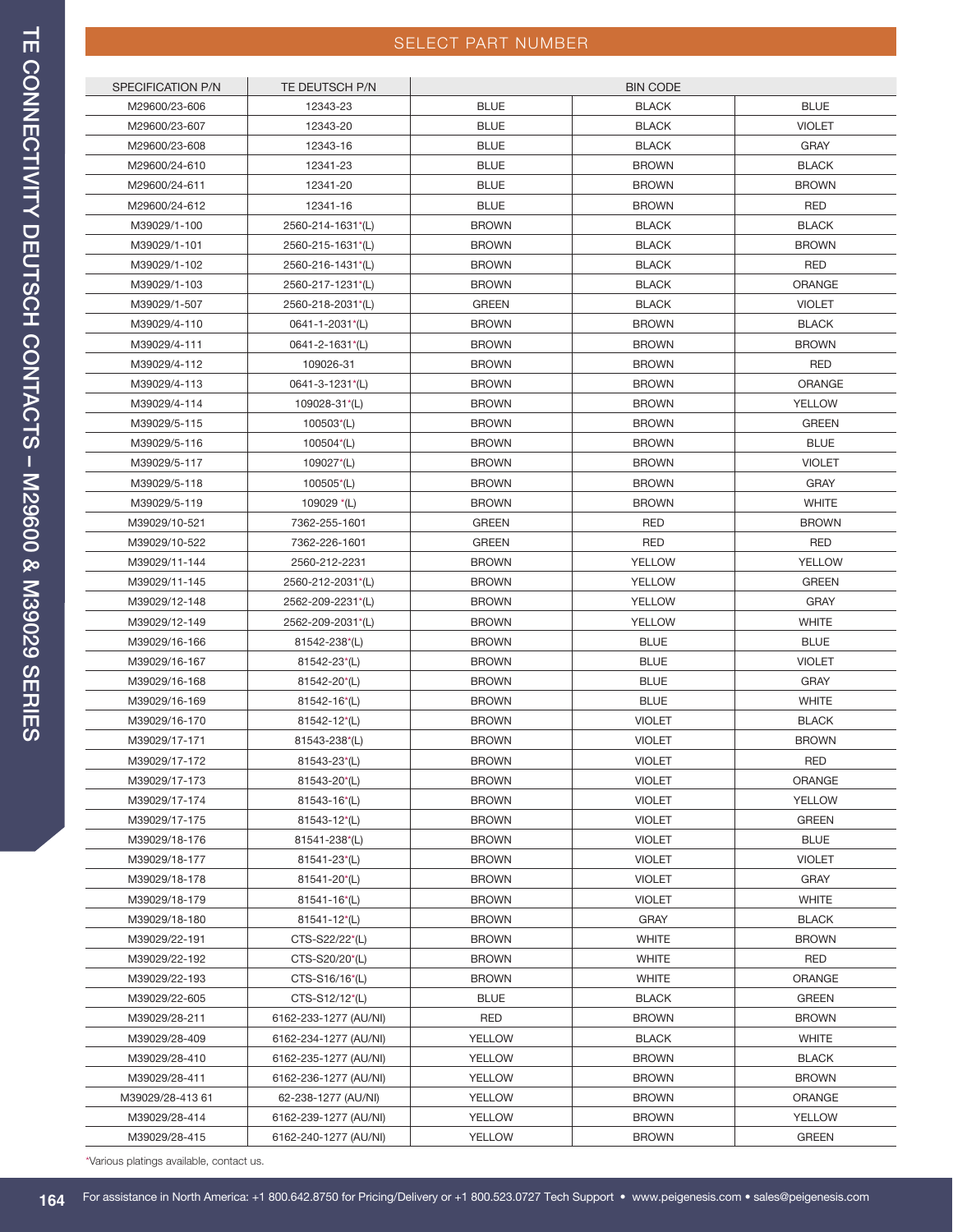## SELECT PART NUMBER

| SPECIFICATION P/N | TE DEUTSCH P/N        |                              | <b>BIN CODE</b> |               |
|-------------------|-----------------------|------------------------------|-----------------|---------------|
| M29600/23-606     | 12343-23              | <b>BLUE</b>                  | <b>BLACK</b>    | <b>BLUE</b>   |
| M29600/23-607     | 12343-20              | <b>BLUE</b>                  | <b>BLACK</b>    | <b>VIOLET</b> |
| M29600/23-608     | 12343-16              | <b>BLUE</b>                  | <b>BLACK</b>    | <b>GRAY</b>   |
| M29600/24-610     | 12341-23              | <b>BLUE</b>                  | <b>BROWN</b>    | <b>BLACK</b>  |
| M29600/24-611     | 12341-20              | <b>BLUE</b>                  | <b>BROWN</b>    | <b>BROWN</b>  |
| M29600/24-612     | 12341-16              | <b>BLUE</b>                  | <b>BROWN</b>    | <b>RED</b>    |
| M39029/1-100      | 2560-214-1631*(L)     | <b>BROWN</b>                 | <b>BLACK</b>    | <b>BLACK</b>  |
| M39029/1-101      | 2560-215-1631*(L)     | <b>BROWN</b>                 | <b>BLACK</b>    | <b>BROWN</b>  |
| M39029/1-102      | 2560-216-1431*(L)     | <b>BROWN</b>                 | <b>BLACK</b>    | <b>RED</b>    |
| M39029/1-103      | 2560-217-1231*(L)     | <b>BROWN</b>                 | <b>BLACK</b>    | <b>ORANGE</b> |
| M39029/1-507      | 2560-218-2031*(L)     | <b>GREEN</b>                 | <b>BLACK</b>    | <b>VIOLET</b> |
| M39029/4-110      | 0641-1-2031*(L)       | <b>BROWN</b>                 | <b>BROWN</b>    | <b>BLACK</b>  |
| M39029/4-111      | 0641-2-1631*(L)       | <b>BROWN</b>                 | <b>BROWN</b>    | <b>BROWN</b>  |
| M39029/4-112      | 109026-31             | <b>BROWN</b>                 | <b>BROWN</b>    | <b>RED</b>    |
| M39029/4-113      | 0641-3-1231*(L)       | <b>BROWN</b>                 | <b>BROWN</b>    | <b>ORANGE</b> |
| M39029/4-114      | 109028-31*(L)         | <b>BROWN</b>                 | <b>BROWN</b>    | YELLOW        |
| M39029/5-115      | $100503*(L)$          | <b>BROWN</b>                 | <b>BROWN</b>    | <b>GREEN</b>  |
| M39029/5-116      | 100504*(L)            | <b>BROWN</b>                 | <b>BROWN</b>    | <b>BLUE</b>   |
| M39029/5-117      | 109027*(L)            | <b>BROWN</b>                 | <b>BROWN</b>    | VIOLET        |
| M39029/5-118      | $100505*(L)$          | <b>BROWN</b>                 | <b>BROWN</b>    | <b>GRAY</b>   |
| M39029/5-119      | 109029 $*(L)$         | <b>BROWN</b>                 | <b>BROWN</b>    | <b>WHITE</b>  |
| M39029/10-521     | 7362-255-1601         | <b>GREEN</b>                 | <b>RED</b>      | <b>BROWN</b>  |
| M39029/10-522     | 7362-226-1601         | <b>GREEN</b>                 | <b>RED</b>      | <b>RED</b>    |
| M39029/11-144     | 2560-212-2231         | <b>BROWN</b>                 | YELLOW          | <b>YELLOW</b> |
| M39029/11-145     | 2560-212-2031*(L)     | <b>BROWN</b>                 | YELLOW          | <b>GREEN</b>  |
| M39029/12-148     | 2562-209-2231*(L)     | <b>BROWN</b>                 | YELLOW          | <b>GRAY</b>   |
| M39029/12-149     | 2562-209-2031*(L)     | <b>BROWN</b>                 | <b>YELLOW</b>   | <b>WHITE</b>  |
| M39029/16-166     | 81542-238*(L)         | <b>BROWN</b>                 | <b>BLUE</b>     | <b>BLUE</b>   |
| M39029/16-167     | 81542-23*(L)          | <b>BROWN</b>                 | <b>BLUE</b>     | <b>VIOLET</b> |
| M39029/16-168     | 81542-20*(L)          | <b>BROWN</b>                 | <b>BLUE</b>     | <b>GRAY</b>   |
| M39029/16-169     | $81542 - 16*(L)$      | <b>BROWN</b>                 | <b>BLUE</b>     | <b>WHITE</b>  |
| M39029/16-170     | 81542-12*(L)          | <b>BROWN</b>                 | <b>VIOLET</b>   | <b>BLACK</b>  |
| M39029/17-171     | 81543-238*(L)         | <b>BROWN</b>                 | <b>VIOLET</b>   | <b>BROWN</b>  |
| M39029/17-172     | $81543 - 23(L)$       | <b>BROWN</b>                 | <b>VIOLET</b>   | <b>RED</b>    |
| M39029/17-173     | 81543-20*(L)          | <b>BROWN</b>                 | VIOLET          | ORANGE        |
| M39029/17-174     | 81543-16*(L)          | <b>BROWN</b>                 | <b>VIOLET</b>   | <b>YELLOW</b> |
| M39029/17-175     | 81543-12*(L)          | <b>BROWN</b>                 | <b>VIOLET</b>   | <b>GREEN</b>  |
| M39029/18-176     | 81541-238*(L)         | <b>BROWN</b>                 | <b>VIOLET</b>   | <b>BLUE</b>   |
| M39029/18-177     | 81541-23*(L)          | <b>BROWN</b>                 | VIOLET          | <b>VIOLET</b> |
| M39029/18-178     | 81541-20*(L)          | <b>BROWN</b>                 | <b>VIOLET</b>   | <b>GRAY</b>   |
|                   |                       |                              |                 |               |
| M39029/18-179     | $81541 - 16*(L)$      | <b>BROWN</b><br><b>BROWN</b> | VIOLET          | <b>WHITE</b>  |
| M39029/18-180     | 81541-12*(L)          |                              | <b>GRAY</b>     | <b>BLACK</b>  |
| M39029/22-191     | CTS-S22/22*(L)        | <b>BROWN</b>                 | <b>WHITE</b>    | <b>BROWN</b>  |
| M39029/22-192     | CTS-S20/20*(L)        | <b>BROWN</b>                 | <b>WHITE</b>    | <b>RED</b>    |
| M39029/22-193     | CTS-S16/16*(L)        | <b>BROWN</b>                 | <b>WHITE</b>    | <b>ORANGE</b> |
| M39029/22-605     | CTS-S12/12*(L)        | <b>BLUE</b>                  | <b>BLACK</b>    | <b>GREEN</b>  |
| M39029/28-211     | 6162-233-1277 (AU/NI) | <b>RED</b>                   | <b>BROWN</b>    | <b>BROWN</b>  |
| M39029/28-409     | 6162-234-1277 (AU/NI) | <b>YELLOW</b>                | <b>BLACK</b>    | <b>WHITE</b>  |
| M39029/28-410     | 6162-235-1277 (AU/NI) | YELLOW                       | <b>BROWN</b>    | <b>BLACK</b>  |
| M39029/28-411     | 6162-236-1277 (AU/NI) | YELLOW                       | <b>BROWN</b>    | <b>BROWN</b>  |
| M39029/28-413 61  | 62-238-1277 (AU/NI)   | YELLOW                       | <b>BROWN</b>    | ORANGE        |
| M39029/28-414     | 6162-239-1277 (AU/NI) | YELLOW                       | <b>BROWN</b>    | <b>YELLOW</b> |
| M39029/28-415     | 6162-240-1277 (AU/NI) | <b>YELLOW</b>                | <b>BROWN</b>    | <b>GREEN</b>  |

\*Various platings available, contact us.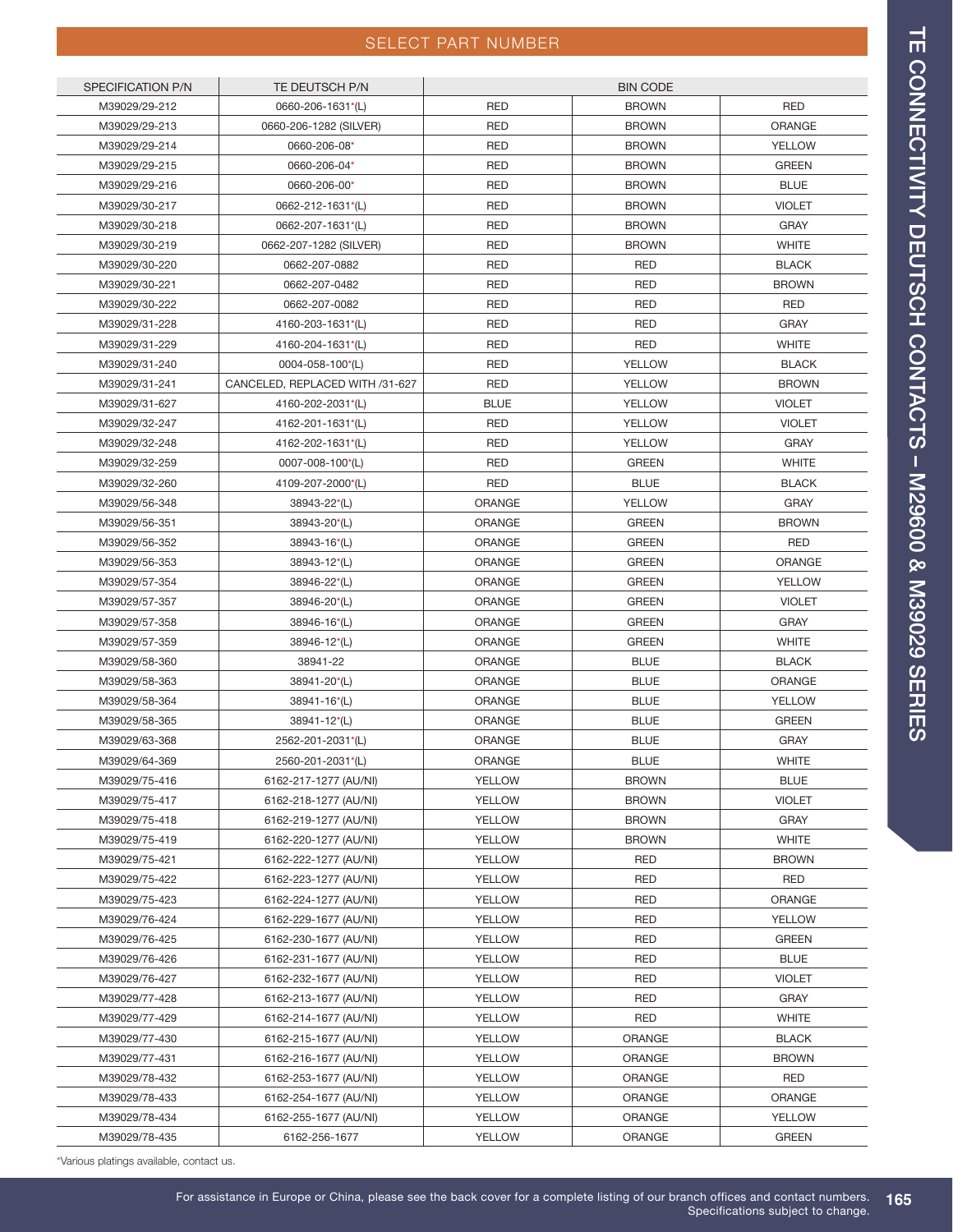### SELECT PART NUMBER

| <b>SPECIFICATION P/N</b> | TE DEUTSCH P/N                  | <b>BIN CODE</b> |               |               |
|--------------------------|---------------------------------|-----------------|---------------|---------------|
| M39029/29-212            | 0660-206-1631*(L)               | <b>RED</b>      | <b>BROWN</b>  | <b>RED</b>    |
| M39029/29-213            | 0660-206-1282 (SILVER)          | <b>RED</b>      | <b>BROWN</b>  | <b>ORANGE</b> |
| M39029/29-214            | 0660-206-08*                    | <b>RED</b>      | <b>BROWN</b>  | <b>YELLOW</b> |
| M39029/29-215            | 0660-206-04*                    | <b>RED</b>      | <b>BROWN</b>  | <b>GREEN</b>  |
| M39029/29-216            | 0660-206-00*                    | <b>RED</b>      | <b>BROWN</b>  | <b>BLUE</b>   |
| M39029/30-217            | 0662-212-1631*(L)               | <b>RED</b>      | <b>BROWN</b>  | <b>VIOLET</b> |
| M39029/30-218            | 0662-207-1631*(L)               | <b>RED</b>      | <b>BROWN</b>  | <b>GRAY</b>   |
| M39029/30-219            | 0662-207-1282 (SILVER)          | <b>RED</b>      | <b>BROWN</b>  | <b>WHITE</b>  |
| M39029/30-220            | 0662-207-0882                   | <b>RED</b>      | <b>RED</b>    | <b>BLACK</b>  |
| M39029/30-221            | 0662-207-0482                   | <b>RED</b>      | <b>RED</b>    | <b>BROWN</b>  |
| M39029/30-222            | 0662-207-0082                   | <b>RED</b>      | <b>RED</b>    | <b>RED</b>    |
| M39029/31-228            | 4160-203-1631*(L)               | <b>RED</b>      | <b>RED</b>    | <b>GRAY</b>   |
| M39029/31-229            | 4160-204-1631*(L)               | <b>RED</b>      | <b>RED</b>    | <b>WHITE</b>  |
| M39029/31-240            | 0004-058-100*(L)                | <b>RED</b>      | YELLOW        | <b>BLACK</b>  |
| M39029/31-241            | CANCELED, REPLACED WITH /31-627 | <b>RED</b>      | <b>YELLOW</b> | <b>BROWN</b>  |
| M39029/31-627            | 4160-202-2031*(L)               | <b>BLUE</b>     | <b>YELLOW</b> | <b>VIOLET</b> |
| M39029/32-247            | 4162-201-1631*(L)               | <b>RED</b>      | <b>YELLOW</b> | <b>VIOLET</b> |
| M39029/32-248            | 4162-202-1631*(L)               | <b>RED</b>      | <b>YELLOW</b> | <b>GRAY</b>   |
| M39029/32-259            | 0007-008-100*(L)                | <b>RED</b>      | <b>GREEN</b>  | <b>WHITE</b>  |
| M39029/32-260            | 4109-207-2000*(L)               | <b>RED</b>      | <b>BLUE</b>   | <b>BLACK</b>  |
| M39029/56-348            | 38943-22*(L)                    | <b>ORANGE</b>   | <b>YELLOW</b> | <b>GRAY</b>   |
| M39029/56-351            | 38943-20*(L)                    | ORANGE          | <b>GREEN</b>  | <b>BROWN</b>  |
| M39029/56-352            | 38943-16*(L)                    | ORANGE          | <b>GREEN</b>  | <b>RED</b>    |
| M39029/56-353            | 38943-12*(L)                    | ORANGE          | <b>GREEN</b>  | <b>ORANGE</b> |
| M39029/57-354            | 38946-22*(L)                    | ORANGE          | <b>GREEN</b>  | YELLOW        |
| M39029/57-357            | 38946-20*(L)                    | ORANGE          | <b>GREEN</b>  | <b>VIOLET</b> |
| M39029/57-358            | 38946-16*(L)                    | ORANGE          | <b>GREEN</b>  | <b>GRAY</b>   |
| M39029/57-359            | 38946-12*(L)                    | ORANGE          | <b>GREEN</b>  | <b>WHITE</b>  |
| M39029/58-360            | 38941-22                        | ORANGE          | <b>BLUE</b>   | <b>BLACK</b>  |
| M39029/58-363            | 38941-20*(L)                    | ORANGE          | <b>BLUE</b>   | ORANGE        |
| M39029/58-364            | 38941-16*(L)                    | <b>ORANGE</b>   | <b>BLUE</b>   | <b>YELLOW</b> |
| M39029/58-365            | 38941-12*(L)                    | <b>ORANGE</b>   | <b>BLUE</b>   | <b>GREEN</b>  |
| M39029/63-368            | 2562-201-2031*(L)               | ORANGE          | <b>BLUE</b>   | <b>GRAY</b>   |
| M39029/64-369            | 2560-201-2031*(L)               | ORANGE          | <b>BLUE</b>   | <b>WHITE</b>  |
| M39029/75-416            | 6162-217-1277 (AU/NI)           | <b>YELLOW</b>   | <b>BROWN</b>  | <b>BLUE</b>   |
| M39029/75-417            | 6162-218-1277 (AU/NI)           | <b>YELLOW</b>   | <b>BROWN</b>  | <b>VIOLET</b> |
| M39029/75-418            | 6162-219-1277 (AU/NI)           | <b>YELLOW</b>   | <b>BROWN</b>  | <b>GRAY</b>   |
| M39029/75-419            | 6162-220-1277 (AU/NI)           | <b>YELLOW</b>   | <b>BROWN</b>  | <b>WHITE</b>  |
| M39029/75-421            | 6162-222-1277 (AU/NI)           | <b>YELLOW</b>   | <b>RED</b>    | <b>BROWN</b>  |
| M39029/75-422            | 6162-223-1277 (AU/NI)           | <b>YELLOW</b>   | <b>RED</b>    | <b>RED</b>    |
| M39029/75-423            | 6162-224-1277 (AU/NI)           | <b>YELLOW</b>   | <b>RED</b>    | ORANGE        |
| M39029/76-424            | 6162-229-1677 (AU/NI)           | <b>YELLOW</b>   | <b>RED</b>    | <b>YELLOW</b> |
| M39029/76-425            | 6162-230-1677 (AU/NI)           | YELLOW          | <b>RED</b>    | <b>GREEN</b>  |
| M39029/76-426            | 6162-231-1677 (AU/NI)           | YELLOW          | RED           | <b>BLUE</b>   |
| M39029/76-427            | 6162-232-1677 (AU/NI)           | <b>YELLOW</b>   | <b>RED</b>    | <b>VIOLET</b> |
| M39029/77-428            | 6162-213-1677 (AU/NI)           | YELLOW          | RED           | <b>GRAY</b>   |
| M39029/77-429            | 6162-214-1677 (AU/NI)           | <b>YELLOW</b>   | <b>RED</b>    | <b>WHITE</b>  |
| M39029/77-430            | 6162-215-1677 (AU/NI)           | <b>YELLOW</b>   | ORANGE        | <b>BLACK</b>  |
| M39029/77-431            | 6162-216-1677 (AU/NI)           | <b>YELLOW</b>   | <b>ORANGE</b> | <b>BROWN</b>  |
| M39029/78-432            | 6162-253-1677 (AU/NI)           | <b>YELLOW</b>   | <b>ORANGE</b> | <b>RED</b>    |
| M39029/78-433            | 6162-254-1677 (AU/NI)           | <b>YELLOW</b>   | <b>ORANGE</b> | ORANGE        |
| M39029/78-434            | 6162-255-1677 (AU/NI)           | <b>YELLOW</b>   | ORANGE        | YELLOW        |
| M39029/78-435            | 6162-256-1677                   | <b>YELLOW</b>   | <b>ORANGE</b> | <b>GREEN</b>  |
|                          |                                 |                 |               |               |

\*Various platings available, contact us.